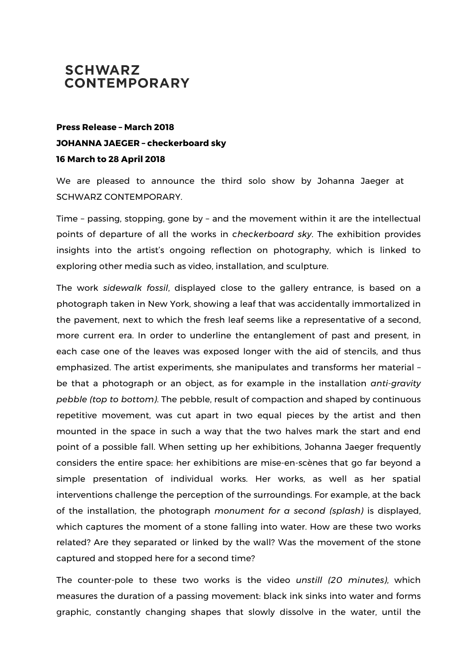## **SCHWARZ CONTEMPORARY**

## **Press Release – March 2018 JOHANNA JAEGER – checkerboard sky 16 March to 28 April 2018**

We are pleased to announce the third solo show by Johanna Jaeger at SCHWARZ CONTEMPORARY.

Time – passing, stopping, gone by – and the movement within it are the intellectual points of departure of all the works in *checkerboard sky*. The exhibition provides insights into the artist's ongoing reflection on photography, which is linked to exploring other media such as video, installation, and sculpture.

The work *sidewalk fossil*, displayed close to the gallery entrance, is based on a photograph taken in New York, showing a leaf that was accidentally immortalized in the pavement, next to which the fresh leaf seems like a representative of a second, more current era. In order to underline the entanglement of past and present, in each case one of the leaves was exposed longer with the aid of stencils, and thus emphasized. The artist experiments, she manipulates and transforms her material – be that a photograph or an object, as for example in the installation *anti-gravity pebble (top to bottom)*. The pebble, result of compaction and shaped by continuous repetitive movement, was cut apart in two equal pieces by the artist and then mounted in the space in such a way that the two halves mark the start and end point of a possible fall. When setting up her exhibitions, Johanna Jaeger frequently considers the entire space: her exhibitions are mise-en-scènes that go far beyond a simple presentation of individual works. Her works, as well as her spatial interventions challenge the perception of the surroundings. For example, at the back of the installation, the photograph *monument for a second (splash)* is displayed, which captures the moment of a stone falling into water. How are these two works related? Are they separated or linked by the wall? Was the movement of the stone captured and stopped here for a second time?

The counter-pole to these two works is the video *unstill (20 minutes)*, which measures the duration of a passing movement: black ink sinks into water and forms graphic, constantly changing shapes that slowly dissolve in the water, until the